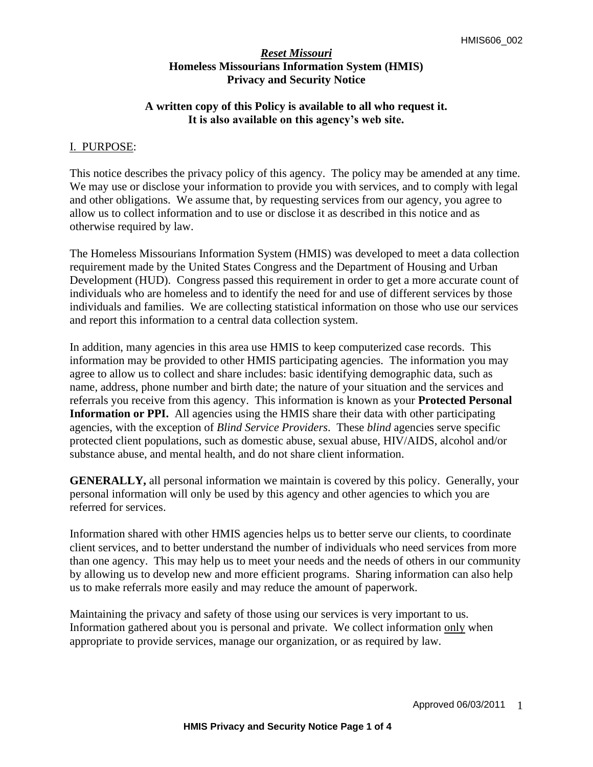# **A written copy of this Policy is available to all who request it. It is also available on this agency's web site.**

### I. PURPOSE:

This notice describes the privacy policy of this agency. The policy may be amended at any time. We may use or disclose your information to provide you with services, and to comply with legal and other obligations. We assume that, by requesting services from our agency, you agree to allow us to collect information and to use or disclose it as described in this notice and as otherwise required by law.

The Homeless Missourians Information System (HMIS) was developed to meet a data collection requirement made by the United States Congress and the Department of Housing and Urban Development (HUD). Congress passed this requirement in order to get a more accurate count of individuals who are homeless and to identify the need for and use of different services by those individuals and families. We are collecting statistical information on those who use our services and report this information to a central data collection system.

In addition, many agencies in this area use HMIS to keep computerized case records. This information may be provided to other HMIS participating agencies. The information you may agree to allow us to collect and share includes: basic identifying demographic data, such as name, address, phone number and birth date; the nature of your situation and the services and referrals you receive from this agency. This information is known as your **Protected Personal**  Information or PPI. All agencies using the HMIS share their data with other participating agencies, with the exception of *Blind Service Providers*. These *blind* agencies serve specific protected client populations, such as domestic abuse, sexual abuse, HIV/AIDS, alcohol and/or substance abuse, and mental health, and do not share client information.

**GENERALLY,** all personal information we maintain is covered by this policy. Generally, your personal information will only be used by this agency and other agencies to which you are referred for services.

Information shared with other HMIS agencies helps us to better serve our clients, to coordinate client services, and to better understand the number of individuals who need services from more than one agency. This may help us to meet your needs and the needs of others in our community by allowing us to develop new and more efficient programs. Sharing information can also help us to make referrals more easily and may reduce the amount of paperwork.

Maintaining the privacy and safety of those using our services is very important to us. Information gathered about you is personal and private. We collect information only when appropriate to provide services, manage our organization, or as required by law.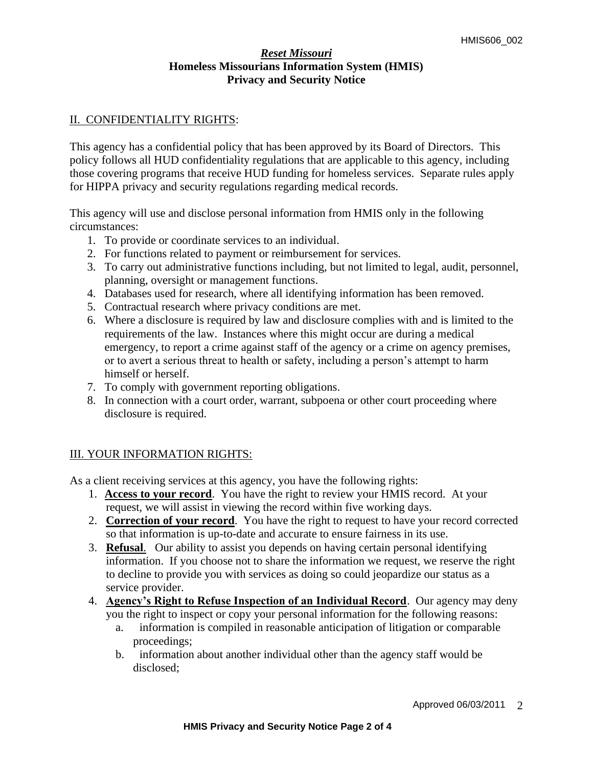## II. CONFIDENTIALITY RIGHTS:

This agency has a confidential policy that has been approved by its Board of Directors. This policy follows all HUD confidentiality regulations that are applicable to this agency, including those covering programs that receive HUD funding for homeless services. Separate rules apply for HIPPA privacy and security regulations regarding medical records.

This agency will use and disclose personal information from HMIS only in the following circumstances:

- 1. To provide or coordinate services to an individual.
- 2. For functions related to payment or reimbursement for services.
- 3. To carry out administrative functions including, but not limited to legal, audit, personnel, planning, oversight or management functions.
- 4. Databases used for research, where all identifying information has been removed.
- 5. Contractual research where privacy conditions are met.
- 6. Where a disclosure is required by law and disclosure complies with and is limited to the requirements of the law. Instances where this might occur are during a medical emergency, to report a crime against staff of the agency or a crime on agency premises, or to avert a serious threat to health or safety, including a person's attempt to harm himself or herself.
- 7. To comply with government reporting obligations.
- 8. In connection with a court order, warrant, subpoena or other court proceeding where disclosure is required.

## III. YOUR INFORMATION RIGHTS:

As a client receiving services at this agency, you have the following rights:

- 1. **Access to your record**. You have the right to review your HMIS record. At your request, we will assist in viewing the record within five working days.
- 2. **Correction of your record**. You have the right to request to have your record corrected so that information is up-to-date and accurate to ensure fairness in its use.
- 3. **Refusal**. Our ability to assist you depends on having certain personal identifying information. If you choose not to share the information we request, we reserve the right to decline to provide you with services as doing so could jeopardize our status as a service provider.
- 4. **Agency's Right to Refuse Inspection of an Individual Record**. Our agency may deny you the right to inspect or copy your personal information for the following reasons:
	- a. information is compiled in reasonable anticipation of litigation or comparable proceedings;
	- b. information about another individual other than the agency staff would be disclosed;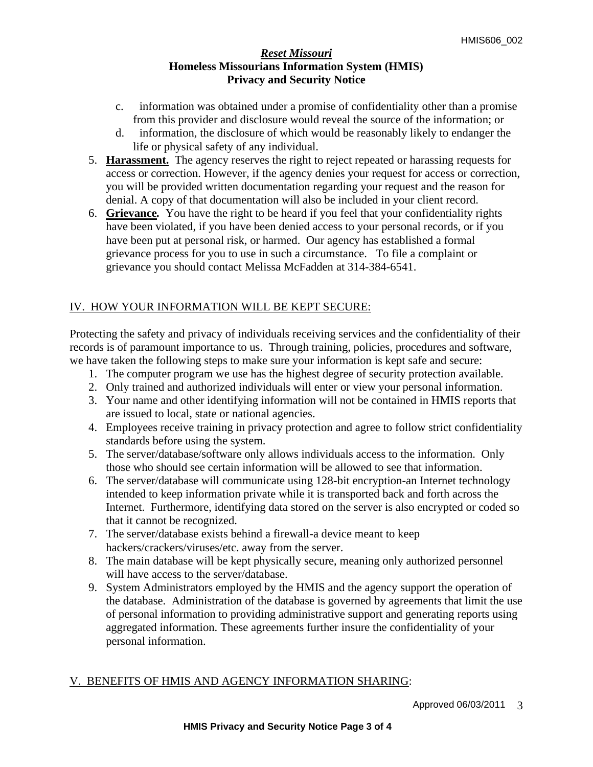- c. information was obtained under a promise of confidentiality other than a promise from this provider and disclosure would reveal the source of the information; or
- d. information, the disclosure of which would be reasonably likely to endanger the life or physical safety of any individual.
- 5. **Harassment.**The agency reserves the right to reject repeated or harassing requests for access or correction. However, if the agency denies your request for access or correction, you will be provided written documentation regarding your request and the reason for denial. A copy of that documentation will also be included in your client record.
- 6. **Grievance***.* You have the right to be heard if you feel that your confidentiality rights have been violated, if you have been denied access to your personal records, or if you have been put at personal risk, or harmed. Our agency has established a formal grievance process for you to use in such a circumstance.To file a complaint or grievance you should contact Melissa McFadden at 314-384-6541.

# IV. HOW YOUR INFORMATION WILL BE KEPT SECURE:

Protecting the safety and privacy of individuals receiving services and the confidentiality of their records is of paramount importance to us. Through training, policies, procedures and software, we have taken the following steps to make sure your information is kept safe and secure:

- 1. The computer program we use has the highest degree of security protection available.
- 2. Only trained and authorized individuals will enter or view your personal information.
- 3. Your name and other identifying information will not be contained in HMIS reports that are issued to local, state or national agencies.
- 4. Employees receive training in privacy protection and agree to follow strict confidentiality standards before using the system.
- 5. The server/database/software only allows individuals access to the information. Only those who should see certain information will be allowed to see that information.
- 6. The server/database will communicate using 128-bit encryption-an Internet technology intended to keep information private while it is transported back and forth across the Internet. Furthermore, identifying data stored on the server is also encrypted or coded so that it cannot be recognized.
- 7. The server/database exists behind a firewall-a device meant to keep hackers/crackers/viruses/etc. away from the server.
- 8. The main database will be kept physically secure, meaning only authorized personnel will have access to the server/database.
- 9. System Administrators employed by the HMIS and the agency support the operation of the database. Administration of the database is governed by agreements that limit the use of personal information to providing administrative support and generating reports using aggregated information. These agreements further insure the confidentiality of your personal information.

## V. BENEFITS OF HMIS AND AGENCY INFORMATION SHARING: